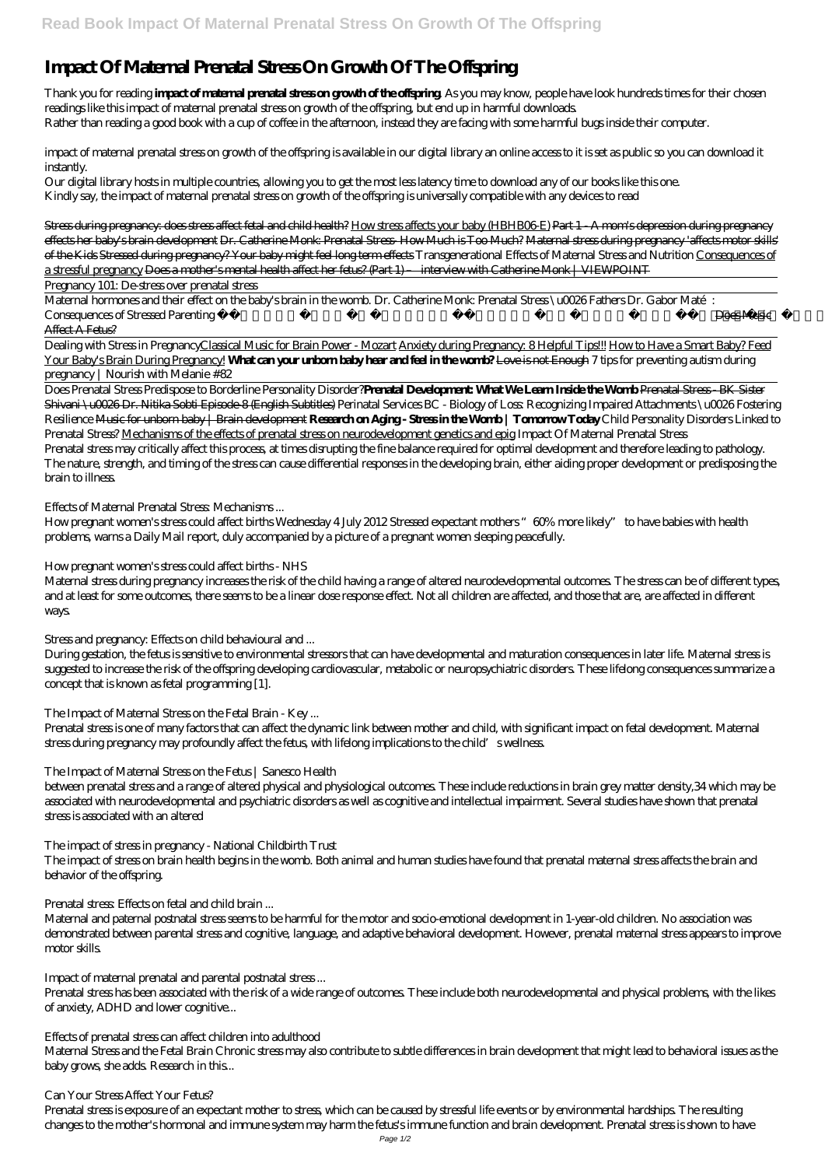# **Impact Of Maternal Prenatal Stress On Growth Of The Offspring**

Thank you for reading **impact of maternal prenatal stress on growth of the offspring**. As you may know, people have look hundreds times for their chosen readings like this impact of maternal prenatal stress on growth of the offspring, but end up in harmful downloads. Rather than reading a good book with a cup of coffee in the afternoon, instead they are facing with some harmful bugs inside their computer.

impact of maternal prenatal stress on growth of the offspring is available in our digital library an online access to it is set as public so you can download it instantly.

Our digital library hosts in multiple countries, allowing you to get the most less latency time to download any of our books like this one. Kindly say, the impact of maternal prenatal stress on growth of the offspring is universally compatible with any devices to read

Maternal hormones and their effect on the baby's brain in the womb. Dr. Catherine Monk: Prenatal Stress \u0026 Fathers Dr. Gabor Maté: Consequences of Stressed Parenting *Relaxing Pregnancy music to make baby kick in the womb* Brain Development #MozartEffect 2018 Music Affect A Fetus?

Stress during pregnancy: does stress affect fetal and child health? How stress affects your baby (HBHB06-E) Part 1 - A mom's depression during pregnancy effects her baby's brain development Dr. Catherine Monk: Prenatal Stress- How Much is Too Much? Maternal stress during pregnancy 'affects motor skills' of the Kids Stressed during pregnancy? Your baby might feel long term effects *Transgenerational Effects of Maternal Stress and Nutrition* Consequences of a stressful pregnancy Does a mother's mental health affect her fetus? (Part 1) – interview with Catherine Monk | VIEWPOINT

Pregnancy 101: De-stress over prenatal stress

Dealing with Stress in PregnancyClassical Music for Brain Power - Mozart Anxiety during Pregnancy: 8 Helpful Tips!!! How to Have a Smart Baby? Feed Your Baby's Brain During Pregnancy! **What can your unborn baby hear and feel in the womb?** Love is not Enough *7 tips for preventing autism during pregnancy | Nourish with Melanie #82*

Prenatal stress is one of many factors that can affect the dynamic link between mother and child, with significant impact on fetal development. Maternal stress during pregnancy may profoundly affect the fetus, with lifelong implications to the child's wellness.

Does Prenatal Stress Predispose to Borderline Personality Disorder?**Prenatal Development: What We Learn Inside the Womb** Prenatal Stress - BK Sister Shivani \u0026 Dr. Nitika Sobti Episode-8 (English Subtitles) *Perinatal Services BC - Biology of Loss: Recognizing Impaired Attachments \u0026 Fostering Resilience* Music for unborn baby | Brain development **Research on Aging - Stress in the Womb | Tomorrow Today** *Child Personality Disorders Linked to Prenatal Stress?* Mechanisms of the effects of prenatal stress on neurodevelopment genetics and epig *Impact Of Maternal Prenatal Stress* Prenatal stress may critically affect this process, at times disrupting the fine balance required for optimal development and therefore leading to pathology. The nature, strength, and timing of the stress can cause differential responses in the developing brain, either aiding proper development or predisposing the brain to illness.

## *Effects of Maternal Prenatal Stress: Mechanisms ...*

How pregnant women's stress could affect births Wednesday 4 July 2012 Stressed expectant mothers "60% more likely" to have babies with health problems, warns a Daily Mail report, duly accompanied by a picture of a pregnant women sleeping peacefully.

## *How pregnant women's stress could affect births - NHS*

Maternal stress during pregnancy increases the risk of the child having a range of altered neurodevelopmental outcomes. The stress can be of different types, and at least for some outcomes, there seems to be a linear dose response effect. Not all children are affected, and those that are, are affected in different ways.

## *Stress and pregnancy: Effects on child behavioural and ...*

During gestation, the fetus is sensitive to environmental stressors that can have developmental and maturation consequences in later life. Maternal stress is suggested to increase the risk of the offspring developing cardiovascular, metabolic or neuropsychiatric disorders. These lifelong consequences summarize a concept that is known as fetal programming [1].

## *The Impact of Maternal Stress on the Fetal Brain - Key ...*

## *The Impact of Maternal Stress on the Fetus | Sanesco Health*

between prenatal stress and a range of altered physical and physiological outcomes. These include reductions in brain grey matter density,34 which may be associated with neurodevelopmental and psychiatric disorders as well as cognitive and intellectual impairment. Several studies have shown that prenatal stress is associated with an altered

## *The impact of stress in pregnancy - National Childbirth Trust*

The impact of stress on brain health begins in the womb. Both animal and human studies have found that prenatal maternal stress affects the brain and behavior of the offspring.

#### *Prenatal stress: Effects on fetal and child brain ...*

Maternal and paternal postnatal stress seems to be harmful for the motor and socio-emotional development in 1-year-old children. No association was demonstrated between parental stress and cognitive, language, and adaptive behavioral development. However, prenatal maternal stress appears to improve motor skills.

#### *Impact of maternal prenatal and parental postnatal stress ...*

Prenatal stress has been associated with the risk of a wide range of outcomes. These include both neurodevelopmental and physical problems, with the likes of anxiety, ADHD and lower cognitive...

#### *Effects of prenatal stress can affect children into adulthood*

Maternal Stress and the Fetal Brain Chronic stress may also contribute to subtle differences in brain development that might lead to behavioral issues as the baby grows, she adds. Research in this...

#### *Can Your Stress Affect Your Fetus?*

Prenatal stress is exposure of an expectant mother to stress, which can be caused by stressful life events or by environmental hardships. The resulting changes to the mother's hormonal and immune system may harm the fetus's immune function and brain development. Prenatal stress is shown to have